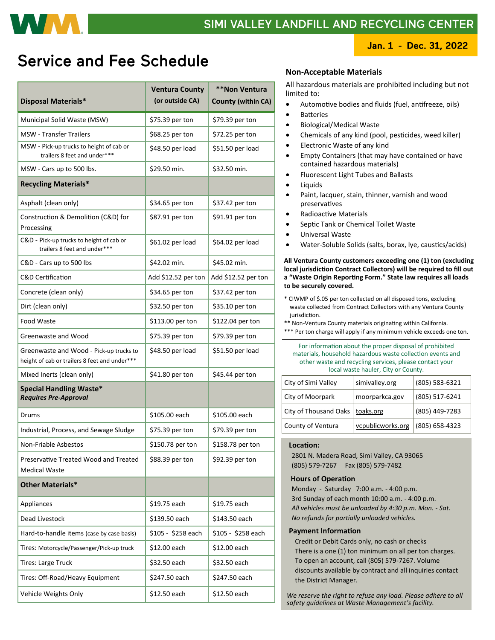

## **Service and Fee Schedule**

| <b>Disposal Materials*</b>                                                               | <b>Ventura County</b><br>(or outside CA) | **Non Ventura<br><b>County (within CA)</b> |
|------------------------------------------------------------------------------------------|------------------------------------------|--------------------------------------------|
| Municipal Solid Waste (MSW)                                                              | \$75.39 per ton                          | \$79.39 per ton                            |
| <b>MSW</b> - Transfer Trailers                                                           | \$68.25 per ton                          | \$72.25 per ton                            |
| MSW - Pick-up trucks to height of cab or<br>trailers 8 feet and under***                 | \$48.50 per load                         | \$51.50 per load                           |
| MSW - Cars up to 500 lbs.                                                                | \$29.50 min.                             | \$32.50 min.                               |
| <b>Recycling Materials*</b>                                                              |                                          |                                            |
| Asphalt (clean only)                                                                     | \$34.65 per ton                          | \$37.42 per ton                            |
| Construction & Demolition (C&D) for<br>Processing                                        | \$87.91 per ton                          | \$91.91 per ton                            |
| C&D - Pick-up trucks to height of cab or<br>trailers 8 feet and under***                 | \$61.02 per load                         | \$64.02 per load                           |
| C&D - Cars up to 500 lbs                                                                 | \$42.02 min.                             | \$45.02 min.                               |
| <b>C&amp;D Certification</b>                                                             | Add \$12.52 per ton                      | Add \$12.52 per ton                        |
| Concrete (clean only)                                                                    | \$34.65 per ton                          | \$37.42 per ton                            |
| Dirt (clean only)                                                                        | \$32.50 per ton                          | \$35.10 per ton                            |
| Food Waste                                                                               | \$113.00 per ton                         | \$122.04 per ton                           |
| Greenwaste and Wood                                                                      | \$75.39 per ton                          | \$79.39 per ton                            |
| Greenwaste and Wood - Pick-up trucks to<br>height of cab or trailers 8 feet and under*** | \$48.50 per load                         | \$51.50 per load                           |
| Mixed Inerts (clean only)                                                                | \$41.80 per ton                          | \$45.44 per ton                            |
| <b>Special Handling Waste*</b><br><b>Requires Pre-Approval</b>                           |                                          |                                            |
| Drums                                                                                    | \$105.00 each                            | \$105.00 each                              |
| Industrial, Process, and Sewage Sludge                                                   | \$75.39 per ton                          | \$79.39 per ton                            |
| Non-Friable Asbestos                                                                     | \$150.78 per ton                         | \$158.78 per ton                           |
| Preservative Treated Wood and Treated<br><b>Medical Waste</b>                            | \$88.39 per ton                          | \$92.39 per ton                            |
| <b>Other Materials*</b>                                                                  |                                          |                                            |
| Appliances                                                                               | \$19.75 each                             | \$19.75 each                               |
| Dead Livestock                                                                           | \$139.50 each                            | \$143.50 each                              |
| Hard-to-handle items (case by case basis)                                                | \$105 - \$258 each                       | \$105 - \$258 each                         |
| Tires: Motorcycle/Passenger/Pick-up truck                                                | \$12.00 each                             | \$12.00 each                               |
| <b>Tires: Large Truck</b>                                                                | \$32.50 each                             | \$32.50 each                               |
| Tires: Off-Road/Heavy Equipment                                                          | \$247.50 each                            | \$247.50 each                              |
| Vehicle Weights Only                                                                     | \$12.50 each                             | \$12.50 each                               |

### **Non-Acceptable Materials**

All hazardous materials are prohibited including but not limited to:

- Automotive bodies and fluids (fuel, antifreeze, oils)
- Batteries
- Biological/Medical Waste
- Chemicals of any kind (pool, pesticides, weed killer)
- Electronic Waste of any kind
- Empty Containers (that may have contained or have contained hazardous materials)
- Fluorescent Light Tubes and Ballasts
- Liquids
- Paint, lacquer, stain, thinner, varnish and wood preservatives
- Radioactive Materials
	- Septic Tank or Chemical Toilet Waste
- Universal Waste
- Water-Soluble Solids (salts, borax, lye, caustics/acids)

**All Ventura County customers exceeding one (1) ton (excluding local jurisdiction Contract Collectors) will be required to fill out a "Waste Origin Reporting Form." State law requires all loads to be securely covered.**

- \* CIWMP of \$.05 per ton collected on all disposed tons, excluding waste collected from Contract Collectors with any Ventura County jurisdiction.
- \*\* Non-Ventura County materials originating within California.
- \*\*\* Per ton charge will apply if any minimum vehicle exceeds one ton.

For information about the proper disposal of prohibited materials, household hazardous waste collection events and other waste and recycling services, please contact your local waste hauler, City or County.

| City of Simi Valley               | simivalley.org    | (805) 583-6321 |
|-----------------------------------|-------------------|----------------|
| City of Moorpark                  | moorparkca.gov    | (805) 517-6241 |
| City of Thousand Oaks   toaks.org |                   | (805) 449-7283 |
| County of Ventura                 | vcpublicworks.org | (805) 658-4323 |

### **Location:**

 2801 N. Madera Road, Simi Valley, CA 93065 (805) 579-7267 Fax (805) 579-7482

### **Hours of Operation**

 Monday - Saturday 7:00 a.m. - 4:00 p.m. 3rd Sunday of each month 10:00 a.m. - 4:00 p.m. *All vehicles must be unloaded by 4:30 p.m. Mon. - Sat. No refunds for partially unloaded vehicles.*

#### **Payment Information**

 Credit or Debit Cards only, no cash or checks There is a one (1) ton minimum on all per ton charges. To open an account, call (805) 579-7267. Volume discounts available by contract and all inquiries contact the District Manager.

 *We reserve the right to refuse any load. Please adhere to all safety guidelines at Waste Management's facility.*

### Jan. 1 - Dec. 31, 2022